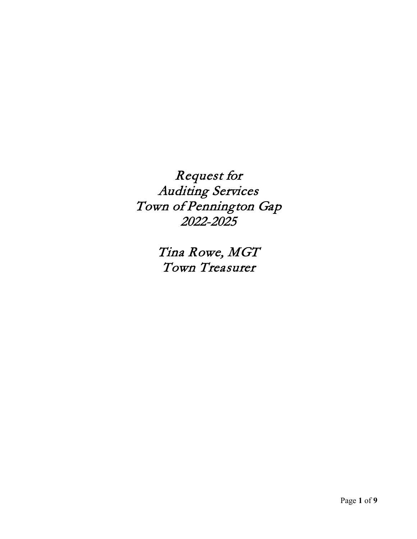Request for Auditing Services Town of Pennington Gap 2022-2025

> Tina Rowe, MGT Town Treasurer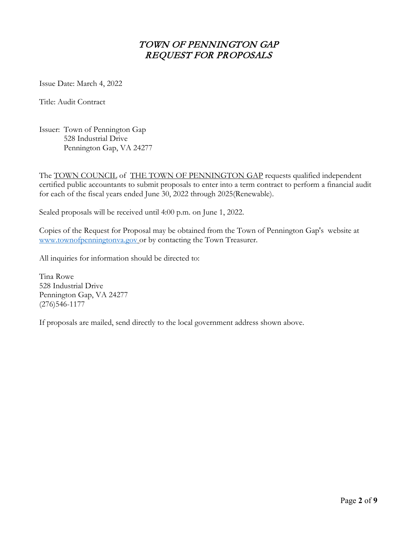# TOWN OF PENNINGTON GAP REQUEST FOR PROPOSALS

Issue Date: March 4, 2022

Title: Audit Contract

Issuer: Town of Pennington Gap 528 Industrial Drive Pennington Gap, VA 24277

The **TOWN COUNCIL** of **THE TOWN OF PENNINGTON GAP** requests qualified independent certified public accountants to submit proposals to enter into a term contract to perform a financial audit for each of the fiscal years ended June 30, 2022 through 2025(Renewable).

Sealed proposals will be received until 4:00 p.m. on June 1, 2022.

Copies of the Request for Proposal may be obtained from the Town of Pennington Gap's website at [www.townofpenningtonva.gov](http://www.townofpenningtonva.gov/) or by contacting the Town Treasurer.

All inquiries for information should be directed to:

Tina Rowe 528 Industrial Drive Pennington Gap, VA 24277 (276)546-1177

If proposals are mailed, send directly to the local government address shown above.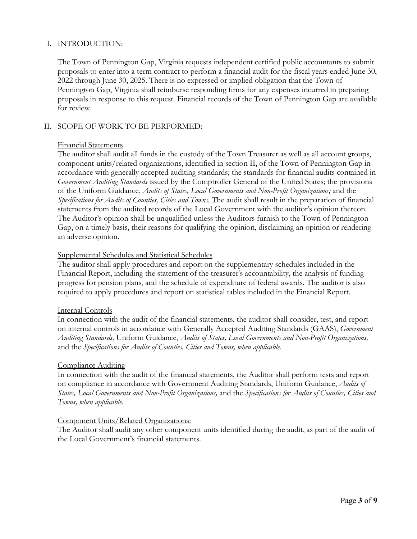### I. INTRODUCTION:

The Town of Pennington Gap, Virginia requests independent certified public accountants to submit proposals to enter into a term contract to perform a financial audit for the fiscal years ended June 30, 2022 through June 30, 2025. There is no expressed or implied obligation that the Town of Pennington Gap, Virginia shall reimburse responding firms for any expenses incurred in preparing proposals in response to this request. Financial records of the Town of Pennington Gap are available for review.

#### II. SCOPE OF WORK TO BE PERFORMED:

#### Financial Statements

The auditor shall audit all funds in the custody of the Town Treasurer as well as all account groups, component-units/related organizations, identified in section II, of the Town of Pennington Gap in accordance with generally accepted auditing standards; the standards for financial audits contained in *Government Auditing Standards* issued by the Comptroller General of the United States; the provisions of the Uniform Guidance, *Audits of States, Local Governments and Non-Profit Organizations;* and the *Specifications for Audits of Counties, Cities and Towns.* The audit shall result in the preparation of financial statements from the audited records of the Local Government with the auditor's opinion thereon. The Auditor's opinion shall be unqualified unless the Auditors furnish to the Town of Pennington Gap, on a timely basis, their reasons for qualifying the opinion, disclaiming an opinion or rendering an adverse opinion.

#### Supplemental Schedules and Statistical Schedules

The auditor shall apply procedures and report on the supplementary schedules included in the Financial Report, including the statement of the treasurer's accountability, the analysis of funding progress for pension plans, and the schedule of expenditure of federal awards. The auditor is also required to apply procedures and report on statistical tables included in the Financial Report.

#### Internal Controls

In connection with the audit of the financial statements, the auditor shall consider, test, and report on internal controls in accordance with Generally Accepted Auditing Standards (GAAS), *Government Auditing Standards,* Uniform Guidance, *Audits of States, Local Governments and Non-Profit Organizations,*  and the *Specifications for Audits of Counties, Cities and Towns, when applicable.* 

#### **Compliance Auditing**

In connection with the audit of the financial statements, the Auditor shall perform tests and report on compliance in accordance with Government Auditing Standards, Uniform Guidance, *Audits of States, Local Governments and Non-Profit Organizations,* and the *Specifications for Audits of Counties, Cities and Towns, when applicable.* 

#### Component Units/Related Organizations:

The Auditor shall audit any other component units identified during the audit, as part of the audit of the Local Government's financial statements.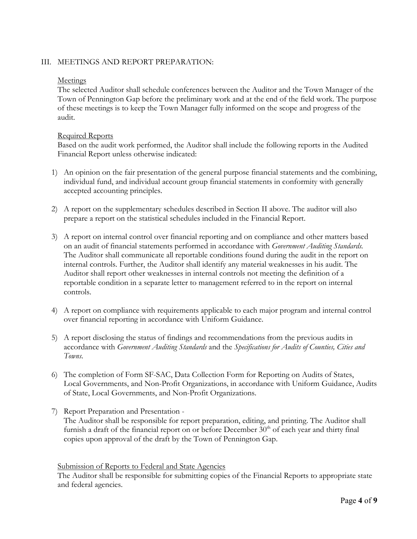### III. MEETINGS AND REPORT PREPARATION:

#### Meetings

The selected Auditor shall schedule conferences between the Auditor and the Town Manager of the Town of Pennington Gap before the preliminary work and at the end of the field work. The purpose of these meetings is to keep the Town Manager fully informed on the scope and progress of the audit.

#### Required Reports

Based on the audit work performed, the Auditor shall include the following reports in the Audited Financial Report unless otherwise indicated:

- 1) An opinion on the fair presentation of the general purpose financial statements and the combining, individual fund, and individual account group financial statements in conformity with generally accepted accounting principles.
- 2) A report on the supplementary schedules described in Section II above. The auditor will also prepare a report on the statistical schedules included in the Financial Report.
- 3) A report on internal control over financial reporting and on compliance and other matters based on an audit of financial statements performed in accordance with *Government Auditing Standards.*  The Auditor shall communicate all reportable conditions found during the audit in the report on internal controls. Further, the Auditor shall identify any material weaknesses in his audit. The Auditor shall report other weaknesses in internal controls not meeting the definition of a reportable condition in a separate letter to management referred to in the report on internal controls.
- 4) A report on compliance with requirements applicable to each major program and internal control over financial reporting in accordance with Uniform Guidance.
- 5) A report disclosing the status of findings and recommendations from the previous audits in accordance with *Government Auditing Standards* and the *Specifications for Audits of Counties, Cities and Towns.*
- 6) The completion of Form SF-SAC, Data Collection Form for Reporting on Audits of States, Local Governments, and Non-Profit Organizations, in accordance with Uniform Guidance, Audits of State, Local Governments, and Non-Profit Organizations.
- 7) Report Preparation and Presentation The Auditor shall be responsible for report preparation, editing, and printing. The Auditor shall furnish a draft of the financial report on or before December  $30<sup>th</sup>$  of each year and thirty final copies upon approval of the draft by the Town of Pennington Gap.

#### Submission of Reports to Federal and State Agencies

The Auditor shall be responsible for submitting copies of the Financial Reports to appropriate state and federal agencies.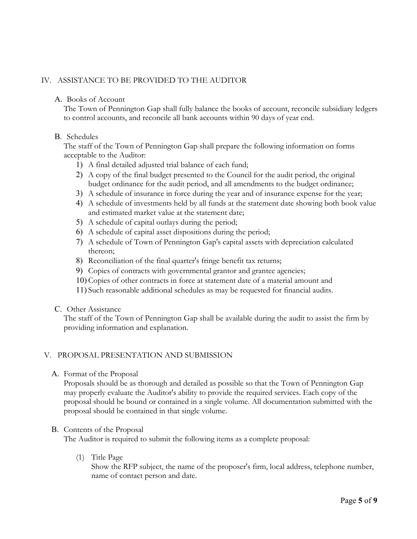# IV. ASSISTANCE TO BE PROVIDED TO THE AUDITOR

### A. Books of Account

The Town of Pennington Gap shall fully balance the books of account, reconcile subsidiary ledgers to control accounts, and reconcile all bank accounts within 90 days of year end.

### B. Schedules

The staff of the Town of Pennington Gap shall prepare the following information on forms acceptable to the Auditor:

- 1) A final detailed adjusted trial balance of each fund;
- 2) A copy of the final budget presented to the Council for the audit period, the original budget ordinance for the audit period, and all amendments to the budget ordinance;
- 3) A schedule of insurance in force during the year and of insurance expense for the year;
- 4) A schedule of investments held by all funds at the statement date showing both book value and estimated market value at the statement date;
- 5) A schedule of capital outlays during the period;
- 6) A schedule of capital asset dispositions during the period;
- 7) A schedule of Town of Pennington Gap's capital assets with depreciation calculated thereon;
- 8) Reconciliation of the final quarter's fringe benefit tax returns;
- 9) Copies of contracts with governmental grantor and grantee agencies;
- 10) Copies of other contracts in force at statement date of a material amount and
- 11) Such reasonable additional schedules as may be requested for financial audits.
- C. Other Assistance

The staff of the Town of Pennington Gap shall be available during the audit to assist the firm by providing information and explanation.

#### V. PROPOSAL PRESENTATION AND SUBMISSION

A. Format of the Proposal

Proposals should be as thorough and detailed as possible so that the Town of Pennington Gap may properly evaluate the Auditor's ability to provide the required services. Each copy of the proposal should be bound or contained in a single volume. All documentation submitted with the proposal should be contained in that single volume.

#### B. Contents of the Proposal

The Auditor is required to submit the following items as a complete proposal:

(1) Title Page

Show the RFP subject, the name of the proposer's firm, local address, telephone number, name of contact person and date.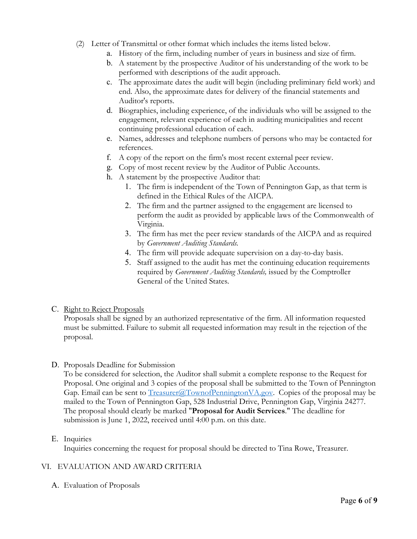- (2) Letter of Transmittal or other format which includes the items listed below.
	- a. History of the firm, including number of years in business and size of firm.
	- b. A statement by the prospective Auditor of his understanding of the work to be performed with descriptions of the audit approach.
	- c. The approximate dates the audit will begin (including preliminary field work) and end. Also, the approximate dates for delivery of the financial statements and Auditor's reports.
	- d. Biographies, including experience, of the individuals who will be assigned to the engagement, relevant experience of each in auditing municipalities and recent continuing professional education of each.
	- e. Names, addresses and telephone numbers of persons who may be contacted for references.
	- f. A copy of the report on the firm's most recent external peer review.
	- g. Copy of most recent review by the Auditor of Public Accounts.
	- h. A statement by the prospective Auditor that:
		- 1. The firm is independent of the Town of Pennington Gap, as that term is defined in the Ethical Rules of the AICPA.
		- 2. The firm and the partner assigned to the engagement are licensed to perform the audit as provided by applicable laws of the Commonwealth of Virginia.
		- 3. The firm has met the peer review standards of the AICPA and as required by *Government Auditing Standards.*
		- 4. The firm will provide adequate supervision on a day-to-day basis.
		- 5. Staff assigned to the audit has met the continuing education requirements required by *Government Auditing Standards,* issued by the Comptroller General of the United States.

### C. Right to Reject Proposals

Proposals shall be signed by an authorized representative of the firm. All information requested must be submitted. Failure to submit all requested information may result in the rejection of the proposal.

### D. Proposals Deadline for Submission

To be considered for selection, the Auditor shall submit a complete response to the Request for Proposal. One original and 3 copies of the proposal shall be submitted to the Town of Pennington Gap. Email can be sent to  $T_{\text{reasure}}(a) \text{Town of} \text{PeningtonVA.gov}$ . Copies of the proposal may be mailed to the Town of Pennington Gap, 528 Industrial Drive, Pennington Gap, Virginia 24277. The proposal should clearly be marked "**Proposal for Audit Services**." The deadline for submission is June 1, 2022, received until 4:00 p.m. on this date.

# E. Inquiries

Inquiries concerning the request for proposal should be directed to Tina Rowe, Treasurer.

# VI. EVALUATION AND AWARD CRITERIA

A. Evaluation of Proposals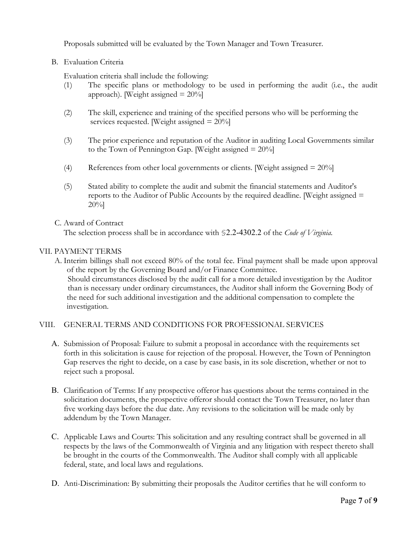Proposals submitted will be evaluated by the Town Manager and Town Treasurer.

# B. Evaluation Criteria

Evaluation criteria shall include the following:

- (1) The specific plans or methodology to be used in performing the audit (i.e., the audit approach). [Weight assigned  $= 20\%$ ]
- (2) The skill, experience and training of the specified persons who will be performing the services requested. [Weight assigned = 20%]
- (3) The prior experience and reputation of the Auditor in auditing Local Governments similar to the Town of Pennington Gap. [Weight assigned  $= 20\%$ ]
- (4) References from other local governments or clients. [Weight assigned = 20%]
- (5) Stated ability to complete the audit and submit the financial statements and Auditor's reports to the Auditor of Public Accounts by the required deadline. [Weight assigned  $=$ 20%]

### C. Award of Contract

The selection process shall be in accordance with §2.2-4302.2 of the *Code of Virginia.* 

# VII. PAYMENT TERMS

A. Interim billings shall not exceed 80% of the total fee. Final payment shall be made upon approval of the report by the Governing Board and/or Finance Committee. Should circumstances disclosed by the audit call for a more detailed investigation by the Auditor than is necessary under ordinary circumstances, the Auditor shall inform the Governing Body of the need for such additional investigation and the additional compensation to complete the investigation.

### VIII. GENERAL TERMS AND CONDITIONS FOR PROFESSIONAL SERVICES

- A. Submission of Proposal: Failure to submit a proposal in accordance with the requirements set forth in this solicitation is cause for rejection of the proposal. However, the Town of Pennington Gap reserves the right to decide, on a case by case basis, in its sole discretion, whether or not to reject such a proposal.
- B. Clarification of Terms: If any prospective offeror has questions about the terms contained in the solicitation documents, the prospective offeror should contact the Town Treasurer, no later than five working days before the due date. Any revisions to the solicitation will be made only by addendum by the Town Manager.
- C. Applicable Laws and Courts: This solicitation and any resulting contract shall be governed in all respects by the laws of the Commonwealth of Virginia and any litigation with respect thereto shall be brought in the courts of the Commonwealth. The Auditor shall comply with all applicable federal, state, and local laws and regulations.
- D. Anti-Discrimination: By submitting their proposals the Auditor certifies that he will conform to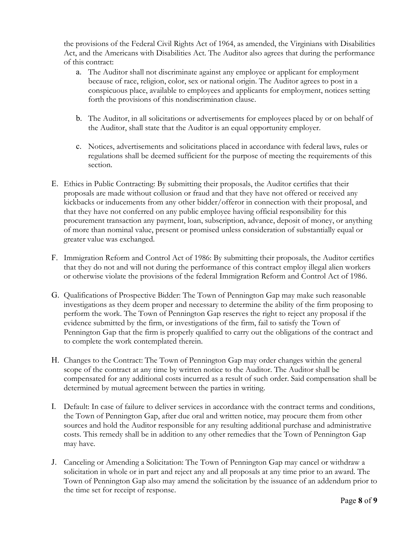the provisions of the Federal Civil Rights Act of 1964, as amended, the Virginians with Disabilities Act, and the Americans with Disabilities Act. The Auditor also agrees that during the performance of this contract:

- a. The Auditor shall not discriminate against any employee or applicant for employment because of race, religion, color, sex or national origin. The Auditor agrees to post in a conspicuous place, available to employees and applicants for employment, notices setting forth the provisions of this nondiscrimination clause.
- b. The Auditor, in all solicitations or advertisements for employees placed by or on behalf of the Auditor, shall state that the Auditor is an equal opportunity employer.
- c. Notices, advertisements and solicitations placed in accordance with federal laws, rules or regulations shall be deemed sufficient for the purpose of meeting the requirements of this section.
- E. Ethics in Public Contracting: By submitting their proposals, the Auditor certifies that their proposals are made without collusion or fraud and that they have not offered or received any kickbacks or inducements from any other bidder/offeror in connection with their proposal, and that they have not conferred on any public employee having official responsibility for this procurement transaction any payment, loan, subscription, advance, deposit of money, or anything of more than nominal value, present or promised unless consideration of substantially equal or greater value was exchanged.
- F. Immigration Reform and Control Act of 1986: By submitting their proposals, the Auditor certifies that they do not and will not during the performance of this contract employ illegal alien workers or otherwise violate the provisions of the federal Immigration Reform and Control Act of 1986.
- G. Qualifications of Prospective Bidder: The Town of Pennington Gap may make such reasonable investigations as they deem proper and necessary to determine the ability of the firm proposing to perform the work. The Town of Pennington Gap reserves the right to reject any proposal if the evidence submitted by the firm, or investigations of the firm, fail to satisfy the Town of Pennington Gap that the firm is properly qualified to carry out the obligations of the contract and to complete the work contemplated therein.
- H. Changes to the Contract: The Town of Pennington Gap may order changes within the general scope of the contract at any time by written notice to the Auditor. The Auditor shall be compensated for any additional costs incurred as a result of such order. Said compensation shall be determined by mutual agreement between the parties in writing.
- I. Default: In case of failure to deliver services in accordance with the contract terms and conditions, the Town of Pennington Gap, after due oral and written notice, may procure them from other sources and hold the Auditor responsible for any resulting additional purchase and administrative costs. This remedy shall be in addition to any other remedies that the Town of Pennington Gap may have.
- J. Canceling or Amending a Solicitation: The Town of Pennington Gap may cancel or withdraw a solicitation in whole or in part and reject any and all proposals at any time prior to an award. The Town of Pennington Gap also may amend the solicitation by the issuance of an addendum prior to the time set for receipt of response.